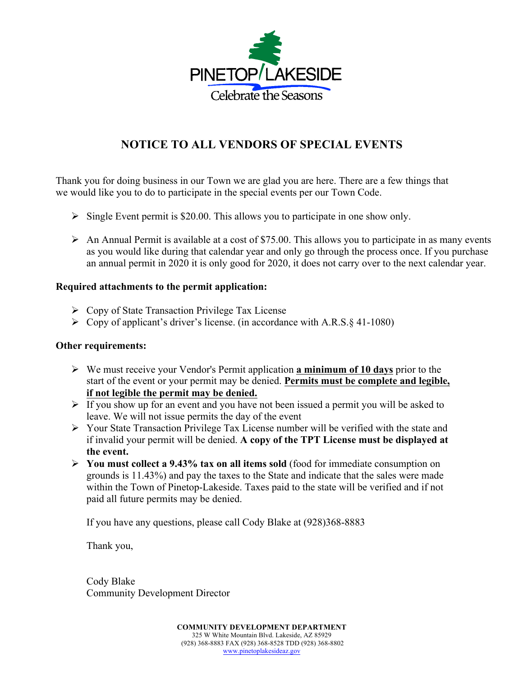

## **NOTICE TO ALL VENDORS OF SPECIAL EVENTS**

Thank you for doing business in our Town we are glad you are here. There are a few things that we would like you to do to participate in the special events per our Town Code.

- $\triangleright$  Single Event permit is \$20.00. This allows you to participate in one show only.
- $\triangleright$  An Annual Permit is available at a cost of \$75.00. This allows you to participate in as many events as you would like during that calendar year and only go through the process once. If you purchase an annual permit in 2020 it is only good for 2020, it does not carry over to the next calendar year.

## **Required attachments to the permit application:**

- $\triangleright$  Copy of State Transaction Privilege Tax License
- $\triangleright$  Copy of applicant's driver's license. (in accordance with A.R.S. § 41-1080)

## **Other requirements:**

- Ø We must receive your Vendor's Permit application **a minimum of 10 days** prior to the start of the event or your permit may be denied. **Permits must be complete and legible, if not legible the permit may be denied.**
- $\triangleright$  If you show up for an event and you have not been issued a permit you will be asked to leave. We will not issue permits the day of the event
- Ø Your State Transaction Privilege Tax License number will be verified with the state and if invalid your permit will be denied. **A copy of the TPT License must be displayed at the event.**
- Ø **You must collect a 9.43% tax on all items sold** (food for immediate consumption on grounds is 11.43%) and pay the taxes to the State and indicate that the sales were made within the Town of Pinetop-Lakeside. Taxes paid to the state will be verified and if not paid all future permits may be denied.

If you have any questions, please call Cody Blake at (928)368-8883

Thank you,

Cody Blake Community Development Director